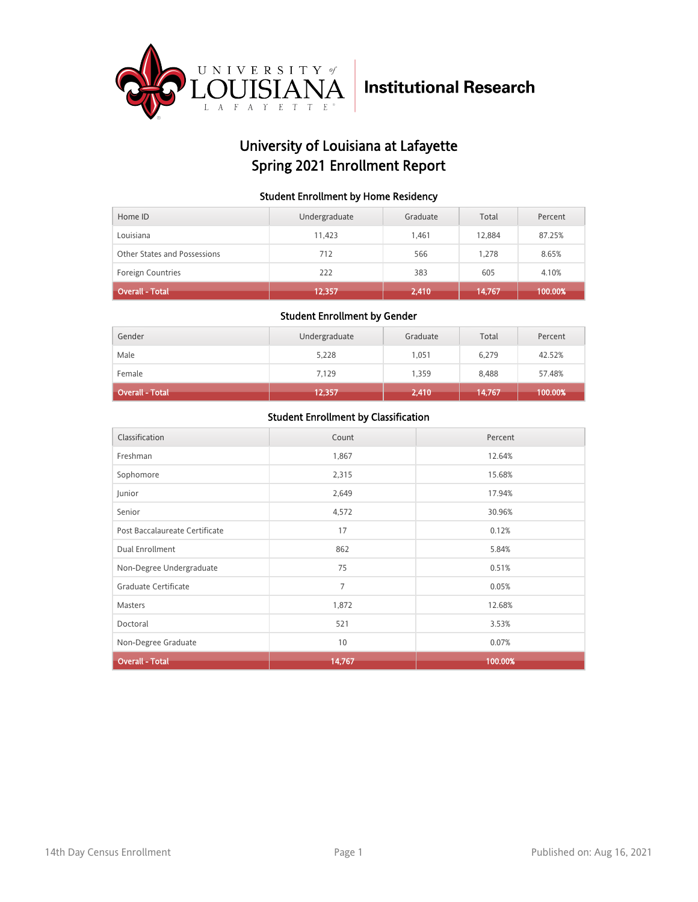

## University of Louisiana at Lafayette Spring 2021 Enrollment Report

### Student Enrollment by Home Residency

| Home ID                      | Undergraduate | Graduate | Total  | Percent |
|------------------------------|---------------|----------|--------|---------|
| Louisiana                    | 11.423        | 1.461    | 12.884 | 87.25%  |
| Other States and Possessions | 712           | 566      | 1.278  | 8.65%   |
| <b>Foreign Countries</b>     | 222           | 383      | 605    | 4.10%   |
| <b>Overall - Total</b>       | 12,357        | 2,410    | 14,767 | 100.00% |

#### Student Enrollment by Gender

| Gender                 | Undergraduate | Graduate | Total  | Percent |
|------------------------|---------------|----------|--------|---------|
| Male                   | 5,228         | 1,051    | 6,279  | 42.52%  |
| Female                 | 7,129         | 1,359    | 8,488  | 57.48%  |
| <b>Overall - Total</b> | 12,357        | 2,410    | 14,767 | 100.00% |

| Classification                 | Count  | Percent |
|--------------------------------|--------|---------|
| Freshman                       | 1,867  | 12.64%  |
| Sophomore                      | 2,315  | 15.68%  |
| Junior                         | 2,649  | 17.94%  |
| Senior                         | 4,572  | 30.96%  |
| Post Baccalaureate Certificate | 17     | 0.12%   |
| Dual Enrollment                | 862    | 5.84%   |
| Non-Degree Undergraduate       | 75     | 0.51%   |
| Graduate Certificate           | 7      | 0.05%   |
| <b>Masters</b>                 | 1,872  | 12.68%  |
| Doctoral                       | 521    | 3.53%   |
| Non-Degree Graduate            | 10     | 0.07%   |
| <b>Overall - Total</b>         | 14,767 | 100.00% |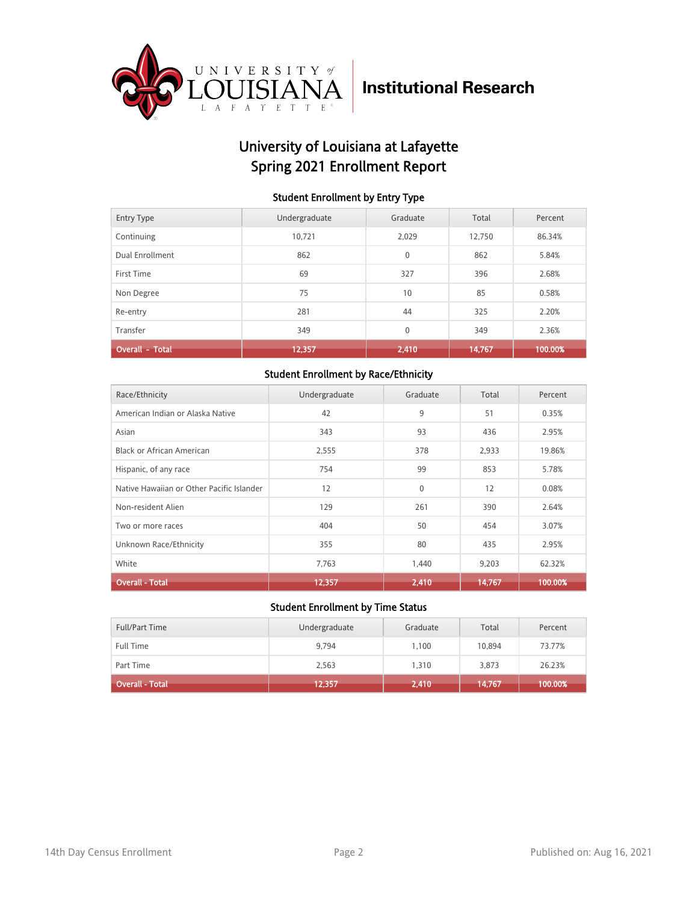

## University of Louisiana at Lafayette Spring 2021 Enrollment Report

#### Student Enrollment by Entry Type

| <b>Entry Type</b>      | Undergraduate | Graduate     | Total  | Percent |
|------------------------|---------------|--------------|--------|---------|
| Continuing             | 10.721        | 2.029        | 12.750 | 86.34%  |
| Dual Enrollment        | 862           | $\mathbf{0}$ | 862    | 5.84%   |
| First Time             | 69            | 327          | 396    | 2.68%   |
| Non Degree             | 75            | 10           | 85     | 0.58%   |
| Re-entry               | 281           | 44           | 325    | 2.20%   |
| Transfer               | 349           | $\mathbf{0}$ | 349    | 2.36%   |
| <b>Overall - Total</b> | 12,357        | 2,410        | 14,767 | 100.00% |

### Student Enrollment by Race/Ethnicity

| Race/Ethnicity                            | Undergraduate | Graduate    | Total  | Percent |
|-------------------------------------------|---------------|-------------|--------|---------|
| American Indian or Alaska Native          | 42            | 9           | 51     | 0.35%   |
| Asian                                     | 343           | 93          | 436    | 2.95%   |
| Black or African American                 | 2,555         | 378         | 2,933  | 19.86%  |
| Hispanic, of any race                     | 754           | 99          | 853    | 5.78%   |
| Native Hawaiian or Other Pacific Islander | 12            | $\mathbf 0$ | 12     | 0.08%   |
| Non-resident Alien                        | 129           | 261         | 390    | 2.64%   |
| Two or more races                         | 404           | 50          | 454    | 3.07%   |
| Unknown Race/Ethnicity                    | 355           | 80          | 435    | 2.95%   |
| White                                     | 7,763         | 1,440       | 9,203  | 62.32%  |
| <b>Overall - Total</b>                    | 12,357        | 2,410       | 14,767 | 100.00% |

| <b>Full/Part Time</b> | Undergraduate | Graduate | Total  | Percent |
|-----------------------|---------------|----------|--------|---------|
| <b>Full Time</b>      | 9.794         | 1.100    | 10.894 | 73.77%  |
| Part Time             | 2,563         | 1,310    | 3,873  | 26.23%  |
| Overall - Total       | 12,357        | 2,410    | 14,767 | 100.00% |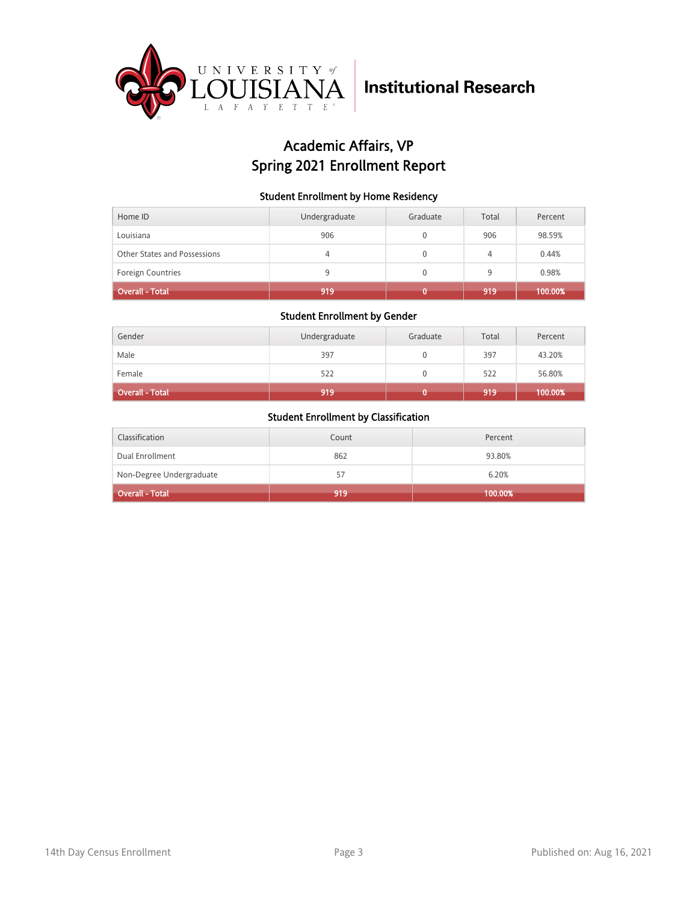

## Academic Affairs, VP Spring 2021 Enrollment Report

### Student Enrollment by Home Residency

| Home ID                      | Undergraduate | Graduate | Total | Percent |
|------------------------------|---------------|----------|-------|---------|
| Louisiana                    | 906           |          | 906   | 98.59%  |
| Other States and Possessions | 4             | 0        | 4     | 0.44%   |
| <b>Foreign Countries</b>     |               |          | 9     | 0.98%   |
| <b>Overall - Total</b>       | 919           |          | 919   | 100.00% |

### Student Enrollment by Gender

| Gender                 | Undergraduate | Graduate | Total | Percent |
|------------------------|---------------|----------|-------|---------|
| Male                   | 397           |          | 397   | 43.20%  |
| Female                 | 522           |          | 522   | 56.80%  |
| <b>Overall - Total</b> | 919           |          | 919   | 100.00% |

| Classification           | Count | Percent |
|--------------------------|-------|---------|
| Dual Enrollment          | 862   | 93.80%  |
| Non-Degree Undergraduate | 57    | 6.20%   |
| <b>Overall - Total</b>   | 919   | 100.00% |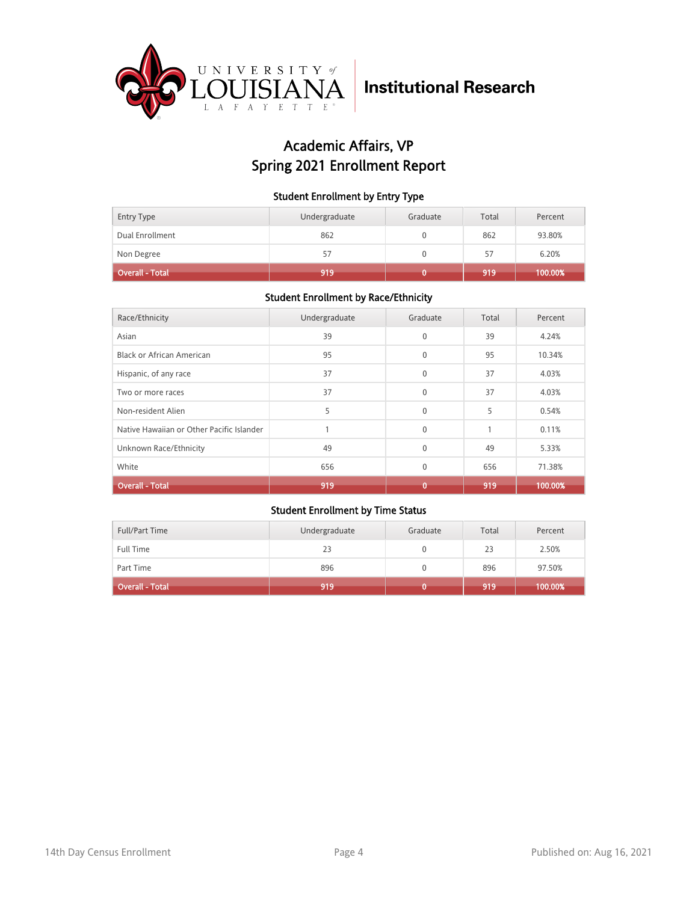

## Academic Affairs, VP Spring 2021 Enrollment Report

### Student Enrollment by Entry Type

| <b>Entry Type</b> | Undergraduate | Graduate | Total | Percent |
|-------------------|---------------|----------|-------|---------|
| Dual Enrollment   | 862           |          | 862   | 93.80%  |
| Non Degree        | 57            |          | 57    | 6.20%   |
| Overall - Total   | 919           |          | 919   | 100.00% |

### Student Enrollment by Race/Ethnicity

| Race/Ethnicity                            | Undergraduate | Graduate     | Total | Percent |
|-------------------------------------------|---------------|--------------|-------|---------|
| Asian                                     | 39            | $\mathbf{0}$ | 39    | 4.24%   |
| <b>Black or African American</b>          | 95            | $\mathbf{0}$ | 95    | 10.34%  |
| Hispanic, of any race                     | 37            | $\mathbf{0}$ | 37    | 4.03%   |
| Two or more races                         | 37            | $\Omega$     | 37    | 4.03%   |
| Non-resident Alien                        | 5             | $\Omega$     | 5     | 0.54%   |
| Native Hawaiian or Other Pacific Islander |               | $\Omega$     |       | 0.11%   |
| Unknown Race/Ethnicity                    | 49            | $\Omega$     | 49    | 5.33%   |
| White                                     | 656           | $\mathbf{0}$ | 656   | 71.38%  |
| <b>Overall - Total</b>                    | 919           | 0            | 919   | 100.00% |

| <b>Full/Part Time</b> | Undergraduate | Graduate | Total | Percent      |
|-----------------------|---------------|----------|-------|--------------|
| <b>Full Time</b>      | 23            |          | 23    | 2.50%        |
| Part Time             | 896           |          | 896   | 97.50%       |
| Overall - Total       | 919           |          | 919   | $100.00\%$ i |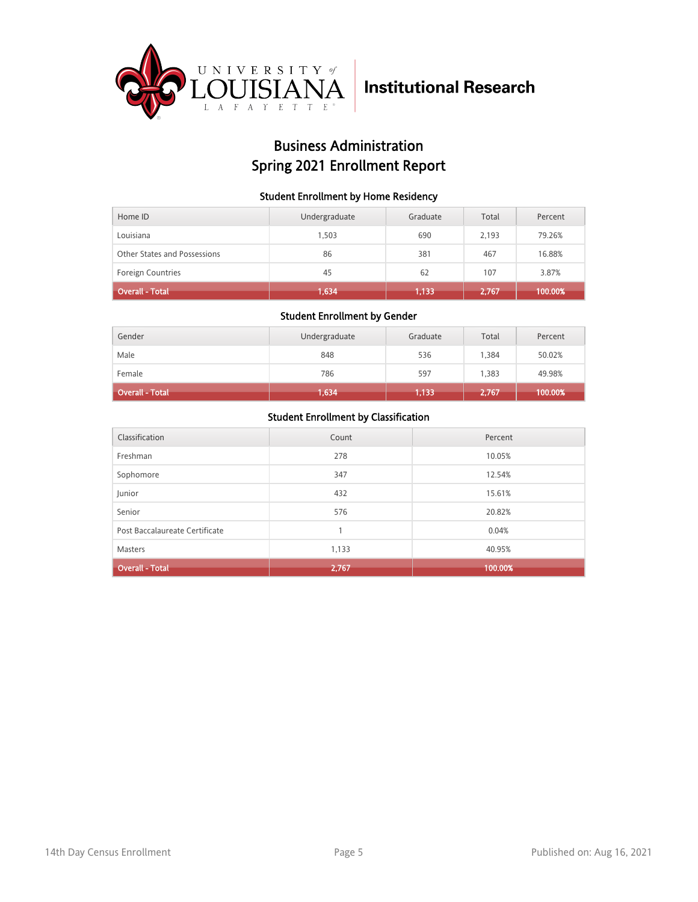

## Business Administration Spring 2021 Enrollment Report

### Student Enrollment by Home Residency

| Home ID                      | Undergraduate | Graduate | Total | Percent |
|------------------------------|---------------|----------|-------|---------|
| Louisiana                    | 1.503         | 690      | 2.193 | 79.26%  |
| Other States and Possessions | 86            | 381      | 467   | 16.88%  |
| <b>Foreign Countries</b>     | 45            | 62       | 107   | 3.87%   |
| Overall - Total              | 1,634         | 1.133    | 2,767 | 100.00% |

#### Student Enrollment by Gender

| Gender                 | Undergraduate | Graduate | Total | Percent |
|------------------------|---------------|----------|-------|---------|
| Male                   | 848           | 536      | 1.384 | 50.02%  |
| Female                 | 786           | 597      | 1,383 | 49.98%  |
| <b>Overall - Total</b> | 1,634         | 1,133    | 2,767 | 100.00% |

| Classification                 | Count | Percent |
|--------------------------------|-------|---------|
| Freshman                       | 278   | 10.05%  |
| Sophomore                      | 347   | 12.54%  |
| Junior                         | 432   | 15.61%  |
| Senior                         | 576   | 20.82%  |
| Post Baccalaureate Certificate |       | 0.04%   |
| <b>Masters</b>                 | 1,133 | 40.95%  |
| <b>Overall - Total</b>         | 2,767 | 100.00% |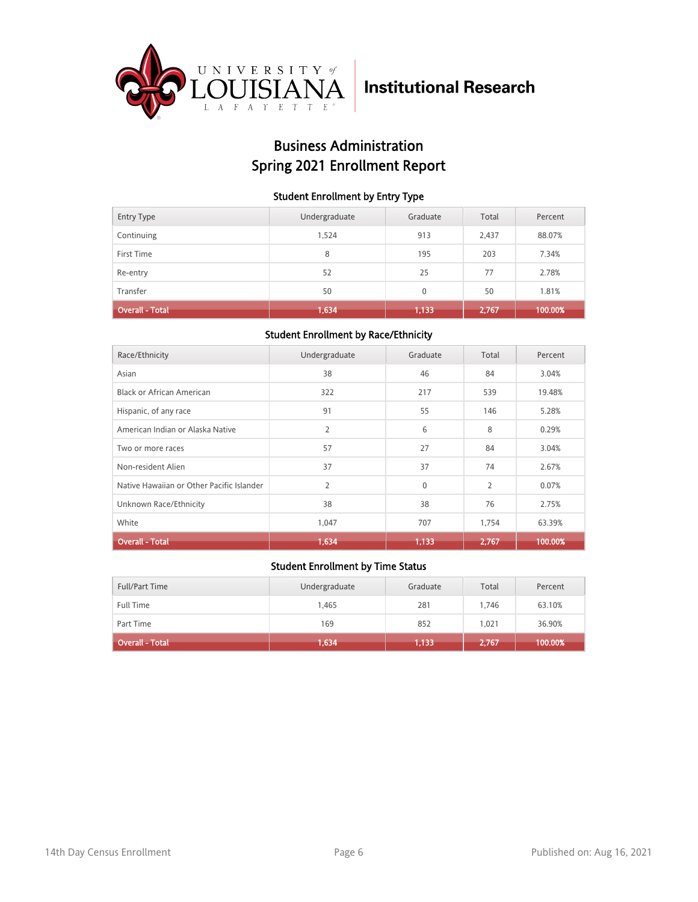

## Business Administration Spring 2021 Enrollment Report

### Student Enrollment by Entry Type

| <b>Entry Type</b>      | Undergraduate | Graduate | Total | Percent |
|------------------------|---------------|----------|-------|---------|
| Continuing             | 1,524         | 913      | 2,437 | 88.07%  |
| First Time             | 8             | 195      | 203   | 7.34%   |
| Re-entry               | 52            | 25       | 77    | 2.78%   |
| Transfer               | 50            | $\Omega$ | 50    | 1.81%   |
| <b>Overall - Total</b> | 1,634         | 1,133    | 2,767 | 100.00% |

### Student Enrollment by Race/Ethnicity

| Race/Ethnicity                            | Undergraduate | Graduate | Total          | Percent |
|-------------------------------------------|---------------|----------|----------------|---------|
| Asian                                     | 38            | 46       | 84             | 3.04%   |
| Black or African American                 | 322           | 217      | 539            | 19.48%  |
| Hispanic, of any race                     | 91            | 55       | 146            | 5.28%   |
| American Indian or Alaska Native          | 2             | 6        | 8              | 0.29%   |
| Two or more races                         | 57            | 27       | 84             | 3.04%   |
| Non-resident Alien                        | 37            | 37       | 74             | 2.67%   |
| Native Hawaiian or Other Pacific Islander | 2             | $\Omega$ | $\overline{2}$ | 0.07%   |
| Unknown Race/Ethnicity                    | 38            | 38       | 76             | 2.75%   |
| White                                     | 1,047         | 707      | 1,754          | 63.39%  |
| <b>Overall - Total</b>                    | 1,634         | 1,133    | 2,767          | 100.00% |

| Full/Part Time               | Undergraduate | Graduate | Total | Percent |
|------------------------------|---------------|----------|-------|---------|
| <b>Full Time</b>             | 1,465         | 281      | 1.746 | 63.10%  |
| Part Time                    | 169           | 852      | 1.021 | 36.90%  |
| Overall - Total <sup>1</sup> | 1,634         | 1,133    | 2,767 | 100.00% |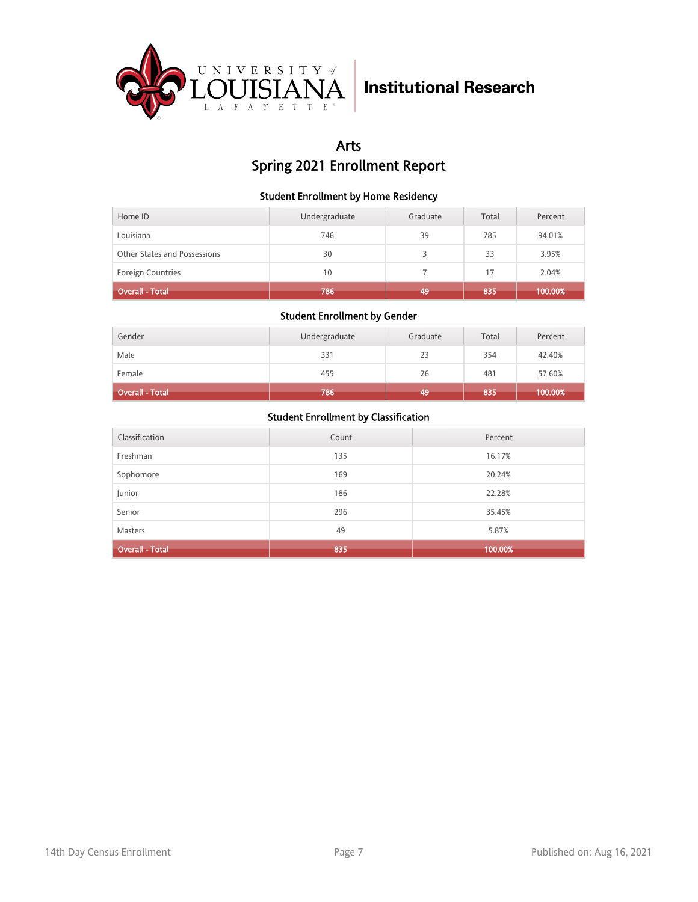

## Arts Spring 2021 Enrollment Report

### Student Enrollment by Home Residency

| Home ID                      | Undergraduate | Graduate | Total | Percent |
|------------------------------|---------------|----------|-------|---------|
| Louisiana                    | 746           | 39       | 785   | 94.01%  |
| Other States and Possessions | 30            |          | 33    | 3.95%   |
| <b>Foreign Countries</b>     | 10            |          | 17    | 2.04%   |
| <b>Overall - Total</b>       | 786           | 49       | 835   | 100.00% |

#### Student Enrollment by Gender

| Gender                 | Undergraduate | Graduate | Total | Percent |
|------------------------|---------------|----------|-------|---------|
| Male                   | 331           | 23       | 354   | 42.40%  |
| Female                 | 455           | 26       | 481   | 57.60%  |
| <b>Overall - Total</b> | 786           | 49       | 835   | 100.00% |

| Classification         | Count | Percent |
|------------------------|-------|---------|
| Freshman               | 135   | 16.17%  |
| Sophomore              | 169   | 20.24%  |
| Junior                 | 186   | 22.28%  |
| Senior                 | 296   | 35.45%  |
| <b>Masters</b>         | 49    | 5.87%   |
| <b>Overall - Total</b> | 835   | 100.00% |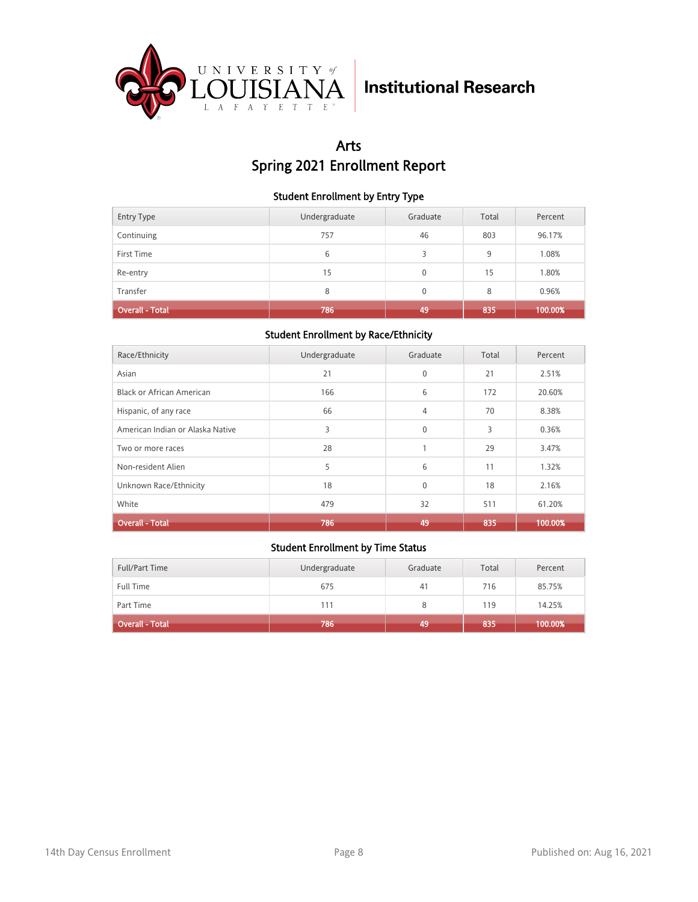

## Arts Spring 2021 Enrollment Report

### Student Enrollment by Entry Type

| <b>Entry Type</b>      | Undergraduate | Graduate     | Total | Percent |
|------------------------|---------------|--------------|-------|---------|
| Continuing             | 757           | 46           | 803   | 96.17%  |
| First Time             | 6             | 3            | 9     | 1.08%   |
| Re-entry               | 15            | $\mathbf{0}$ | 15    | 1.80%   |
| Transfer               | 8             | $\Omega$     | 8     | 0.96%   |
| <b>Overall - Total</b> | 786           | 49           | 835   | 100.00% |

### Student Enrollment by Race/Ethnicity

| Race/Ethnicity                   | Undergraduate | Graduate     | Total | Percent |
|----------------------------------|---------------|--------------|-------|---------|
| Asian                            | 21            | $\mathbf 0$  | 21    | 2.51%   |
| <b>Black or African American</b> | 166           | 6            | 172   | 20.60%  |
| Hispanic, of any race            | 66            | 4            | 70    | 8.38%   |
| American Indian or Alaska Native | 3             | $\Omega$     | 3     | 0.36%   |
| Two or more races                | 28            | h            | 29    | 3.47%   |
| Non-resident Alien               | 5             | 6            | 11    | 1.32%   |
| Unknown Race/Ethnicity           | 18            | $\mathbf{0}$ | 18    | 2.16%   |
| White                            | 479           | 32           | 511   | 61.20%  |
| <b>Overall - Total</b>           | 786           | 49           | 835   | 100.00% |

| Full/Part Time         | Undergraduate | Graduate | Total | Percent |
|------------------------|---------------|----------|-------|---------|
| <b>Full Time</b>       | 675           | 41       | 716   | 85.75%  |
| Part Time              | 111           |          | 119   | 14.25%  |
| <b>Overall - Total</b> | 786           | 49       | 835   | 100.00% |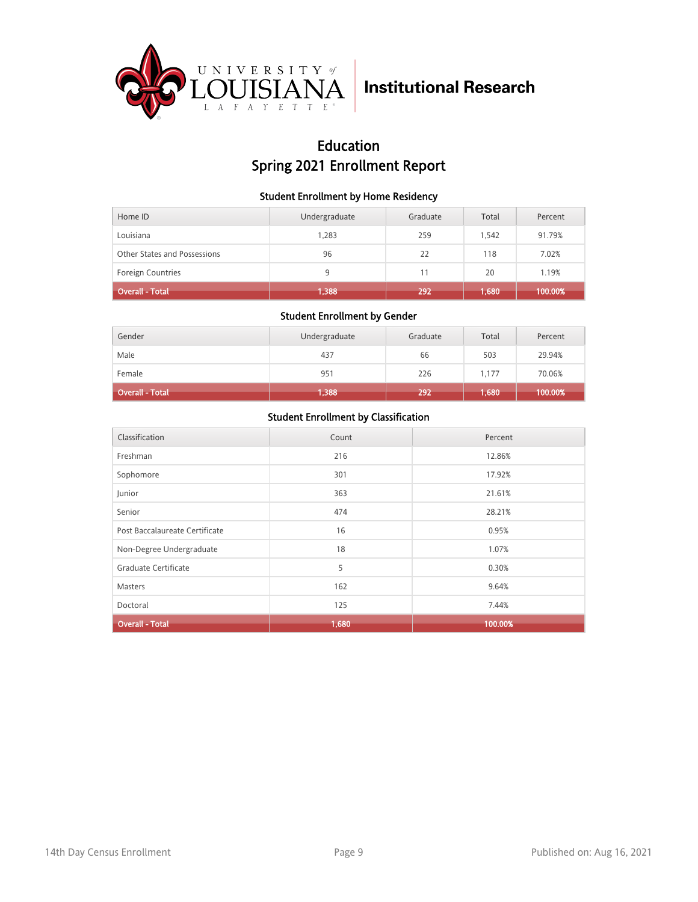

## Education Spring 2021 Enrollment Report

### Student Enrollment by Home Residency

| Home ID                      | Undergraduate | Graduate | Total | Percent |
|------------------------------|---------------|----------|-------|---------|
| Louisiana                    | 1,283         | 259      | 1.542 | 91.79%  |
| Other States and Possessions | 96            | 22       | 118   | 7.02%   |
| <b>Foreign Countries</b>     | 9             | 11       | 20    | 1.19%   |
| <b>Overall - Total</b>       | 1,388         | 292      | 1,680 | 100.00% |

### Student Enrollment by Gender

| Gender          | Undergraduate | Graduate | Total | Percent |
|-----------------|---------------|----------|-------|---------|
| Male            | 437           | 66       | 503   | 29.94%  |
| Female          | 951           | 226      | 1,177 | 70.06%  |
| Overall - Total | 1,388         | 292      | 1,680 | 100.00% |

| Classification                 | Count | Percent |
|--------------------------------|-------|---------|
| Freshman                       | 216   | 12.86%  |
| Sophomore                      | 301   | 17.92%  |
| Junior                         | 363   | 21.61%  |
| Senior                         | 474   | 28.21%  |
| Post Baccalaureate Certificate | 16    | 0.95%   |
| Non-Degree Undergraduate       | 18    | 1.07%   |
| Graduate Certificate           | 5     | 0.30%   |
| <b>Masters</b>                 | 162   | 9.64%   |
| Doctoral                       | 125   | 7.44%   |
| <b>Overall - Total</b>         | 1,680 | 100.00% |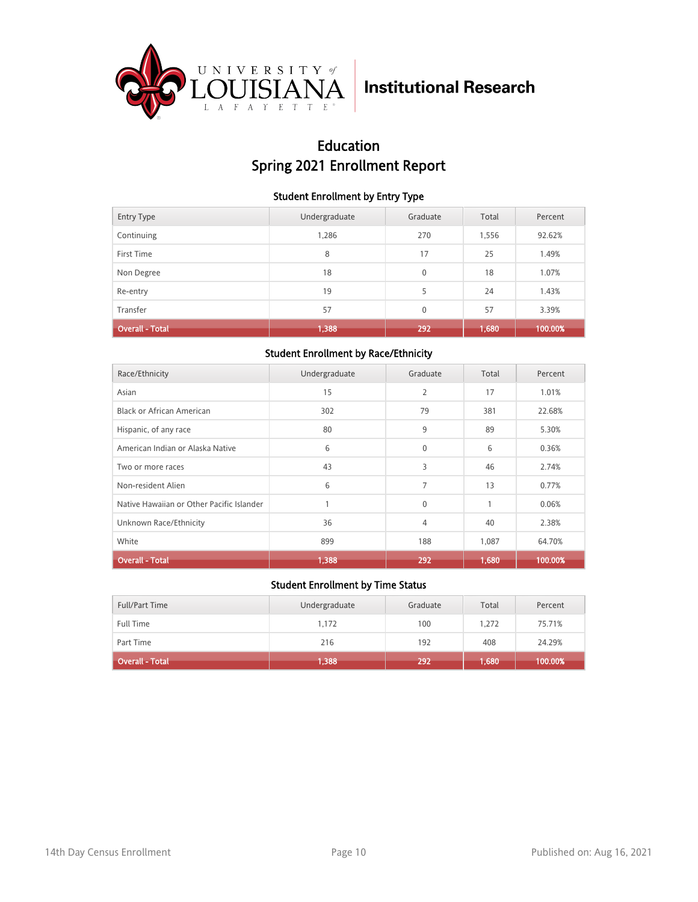

## Education Spring 2021 Enrollment Report

### Student Enrollment by Entry Type

| <b>Entry Type</b>      | Undergraduate | Graduate     | Total | Percent |
|------------------------|---------------|--------------|-------|---------|
| Continuing             | 1,286         | 270          | 1,556 | 92.62%  |
| First Time             | 8             | 17           | 25    | 1.49%   |
| Non Degree             | 18            | $\mathbf{0}$ | 18    | 1.07%   |
| Re-entry               | 19            | 5            | 24    | 1.43%   |
| Transfer               | 57            | $\mathbf{0}$ | 57    | 3.39%   |
| <b>Overall - Total</b> | 1,388         | 292          | 1,680 | 100.00% |

### Student Enrollment by Race/Ethnicity

| Race/Ethnicity                            | Undergraduate | Graduate     | Total | Percent |
|-------------------------------------------|---------------|--------------|-------|---------|
| Asian                                     | 15            | 2            | 17    | 1.01%   |
| Black or African American                 | 302           | 79           | 381   | 22.68%  |
| Hispanic, of any race                     | 80            | 9            | 89    | 5.30%   |
| American Indian or Alaska Native          | 6             | $\mathbf{0}$ | 6     | 0.36%   |
| Two or more races                         | 43            | 3            | 46    | 2.74%   |
| Non-resident Alien                        | 6             | 7            | 13    | 0.77%   |
| Native Hawaiian or Other Pacific Islander | 1             | $\mathbf{0}$ | 1     | 0.06%   |
| Unknown Race/Ethnicity                    | 36            | 4            | 40    | 2.38%   |
| White                                     | 899           | 188          | 1,087 | 64.70%  |
| <b>Overall - Total</b>                    | 1,388         | 292          | 1,680 | 100.00% |

| Full/Part Time         | Undergraduate | Graduate | Total | Percent |
|------------------------|---------------|----------|-------|---------|
| <b>Full Time</b>       | 1.172         | 100      | 1.272 | 75.71%  |
| Part Time              | 216           | 192      | 408   | 24.29%  |
| <b>Overall - Total</b> | 1,388         | 292      | 1,680 | 100.00% |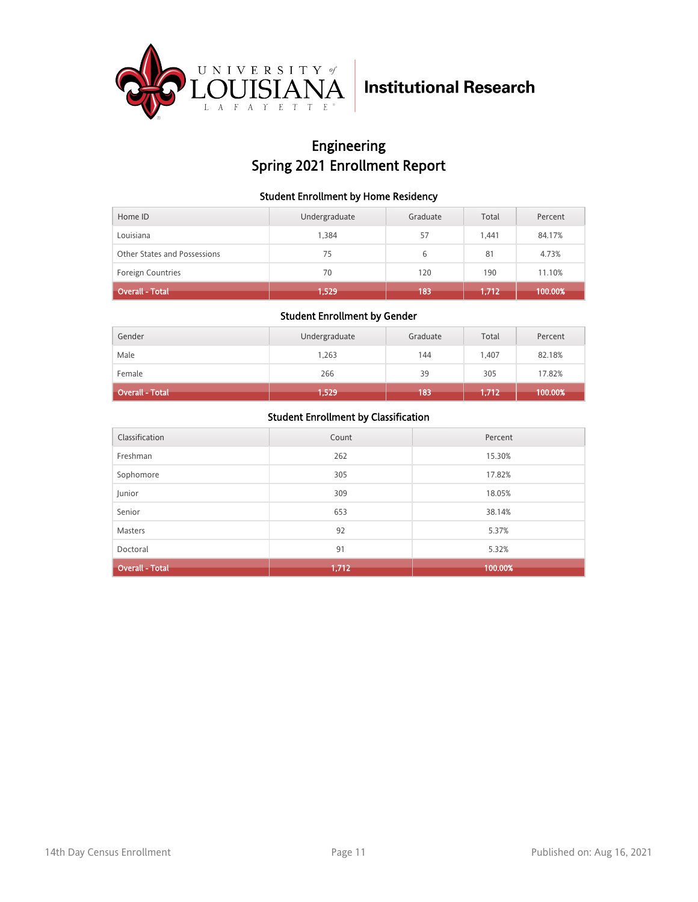

## Engineering Spring 2021 Enrollment Report

### Student Enrollment by Home Residency

| Home ID                      | Undergraduate | Graduate | Total | Percent |
|------------------------------|---------------|----------|-------|---------|
| Louisiana                    | 1.384         | 57       | 1.441 | 84.17%  |
| Other States and Possessions | 75            | 6        | 81    | 4.73%   |
| <b>Foreign Countries</b>     | 70            | 120      | 190   | 11.10%  |
| <b>Overall - Total</b>       | 1,529         | 183      | 1,712 | 100.00% |

#### Student Enrollment by Gender

| Gender                 | Undergraduate | Graduate | Total   | Percent |
|------------------------|---------------|----------|---------|---------|
| Male                   | 1,263         | 144      | 1.407   | 82.18%  |
| Female                 | 266           | 39       | 305     | 17.82%  |
| <b>Overall - Total</b> | 1,529         | 183      | (1,712) | 100.00% |

| Classification         | Count | Percent |
|------------------------|-------|---------|
| Freshman               | 262   | 15.30%  |
| Sophomore              | 305   | 17.82%  |
| Junior                 | 309   | 18.05%  |
| Senior                 | 653   | 38.14%  |
| <b>Masters</b>         | 92    | 5.37%   |
| Doctoral               | 91    | 5.32%   |
| <b>Overall - Total</b> | 1,712 | 100.00% |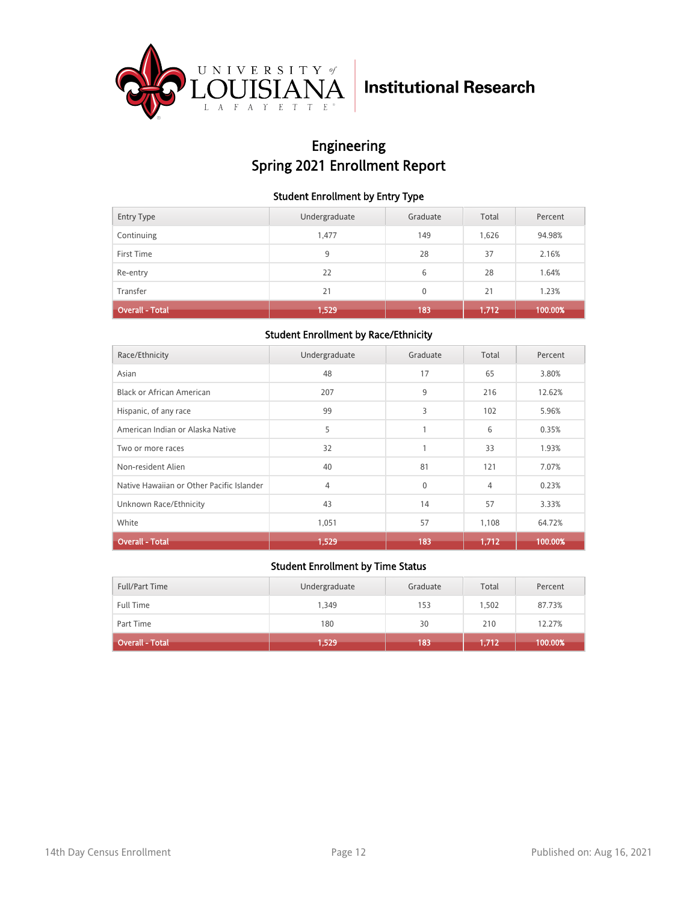

## Engineering Spring 2021 Enrollment Report

### Student Enrollment by Entry Type

| <b>Entry Type</b>      | Undergraduate | Graduate | Total | Percent |
|------------------------|---------------|----------|-------|---------|
| Continuing             | 1,477         | 149      | 1,626 | 94.98%  |
| First Time             | 9             | 28       | 37    | 2.16%   |
| Re-entry               | 22            | 6        | 28    | 1.64%   |
| Transfer               | 21            | $\Omega$ | 21    | 1.23%   |
| <b>Overall - Total</b> | 1,529         | 183      | 1,712 | 100.00% |

### Student Enrollment by Race/Ethnicity

| Race/Ethnicity                            | Undergraduate | Graduate | Total | Percent |
|-------------------------------------------|---------------|----------|-------|---------|
| Asian                                     | 48            | 17       | 65    | 3.80%   |
| Black or African American                 | 207           | 9        | 216   | 12.62%  |
| Hispanic, of any race                     | 99            | 3        | 102   | 5.96%   |
| American Indian or Alaska Native          | 5             | 1        | 6     | 0.35%   |
| Two or more races                         | 32            |          | 33    | 1.93%   |
| Non-resident Alien                        | 40            | 81       | 121   | 7.07%   |
| Native Hawaiian or Other Pacific Islander | 4             | $\Omega$ | 4     | 0.23%   |
| Unknown Race/Ethnicity                    | 43            | 14       | 57    | 3.33%   |
| White                                     | 1,051         | 57       | 1,108 | 64.72%  |
| <b>Overall - Total</b>                    | 1,529         | 183      | 1,712 | 100.00% |

| Full/Part Time         | Undergraduate | Graduate | Total | Percent |
|------------------------|---------------|----------|-------|---------|
| <b>Full Time</b>       | 1.349         | 153      | 1.502 | 87.73%  |
| Part Time              | 180           | 30       | 210   | 12.27%  |
| <b>Overall - Total</b> | 1,529         | 183      | 1,712 | 100.00% |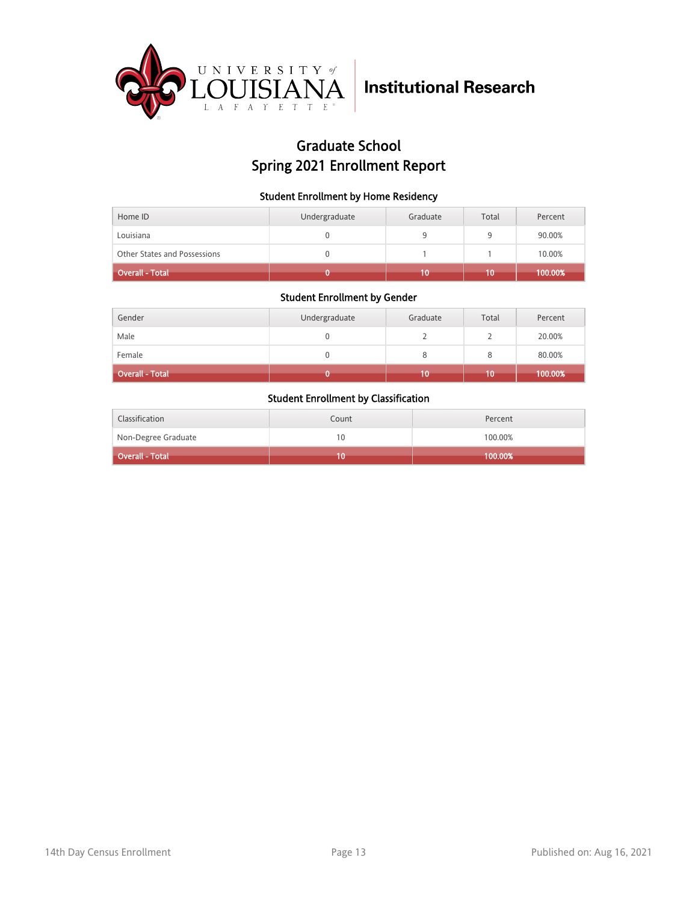

## Graduate School Spring 2021 Enrollment Report

### Student Enrollment by Home Residency

| Home ID                      | Undergraduate | Graduate | Total | Percent |
|------------------------------|---------------|----------|-------|---------|
| Louisiana                    |               |          | a     | 90.00%  |
| Other States and Possessions |               |          |       | 10.00%  |
| Overall - Total              |               |          |       | 100.00% |

### Student Enrollment by Gender

| Gender                 | Undergraduate | Graduate | Total | Percent |
|------------------------|---------------|----------|-------|---------|
| Male                   |               |          |       | 20.00%  |
| Female                 | 0             |          |       | 80.00%  |
| <b>Overall - Total</b> |               | 10       | 10    | 100.00% |

| Classification          | Count | Percent |
|-------------------------|-------|---------|
| Non-Degree Graduate     | 10    | 100.00% |
| <b>Coverall - Total</b> | Ю     | 100.00% |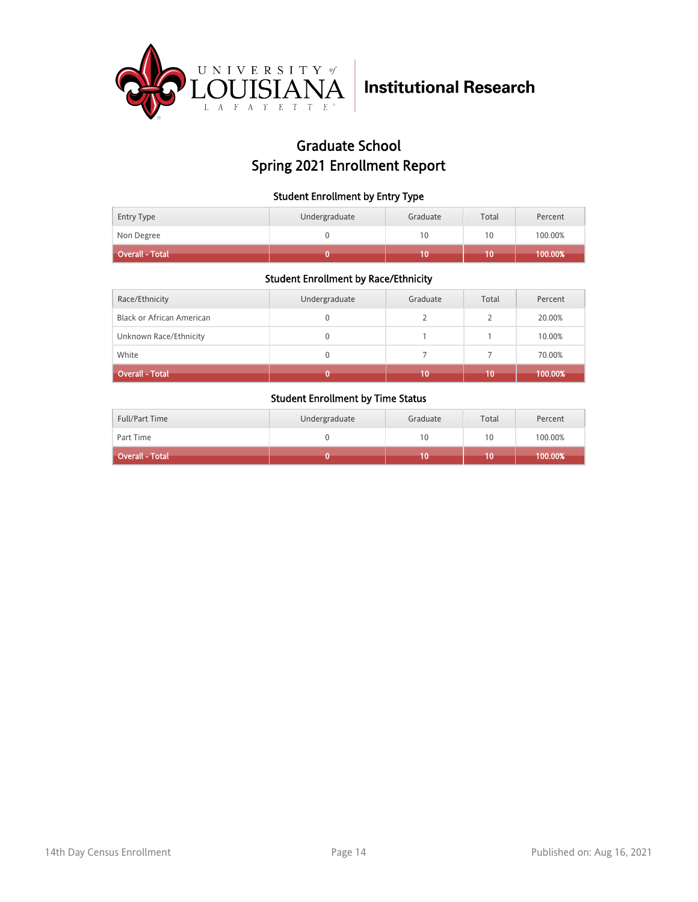

## Graduate School Spring 2021 Enrollment Report

### Student Enrollment by Entry Type

| <b>Entry Type</b> | Undergraduate | Graduate | Total | Percent |
|-------------------|---------------|----------|-------|---------|
| Non Degree        |               | 10       | 10    | 100.00% |
| Overall - Total   |               |          |       | 100.00% |

### Student Enrollment by Race/Ethnicity

| Race/Ethnicity            | Undergraduate | Graduate | Total | Percent |
|---------------------------|---------------|----------|-------|---------|
| Black or African American | 0             |          |       | 20.00%  |
| Unknown Race/Ethnicity    | 0             |          |       | 10.00%  |
| White                     | 0             |          |       | 70.00%  |
| <b>Overall - Total</b>    |               | 10       | 10    | 100.00% |

| <b>Full/Part Time</b> | Undergraduate | Graduate | Total | Percent |
|-----------------------|---------------|----------|-------|---------|
| Part Time             |               | 10       | 10    | 100.00% |
| Overall - Total       |               |          | 10    | 100.00% |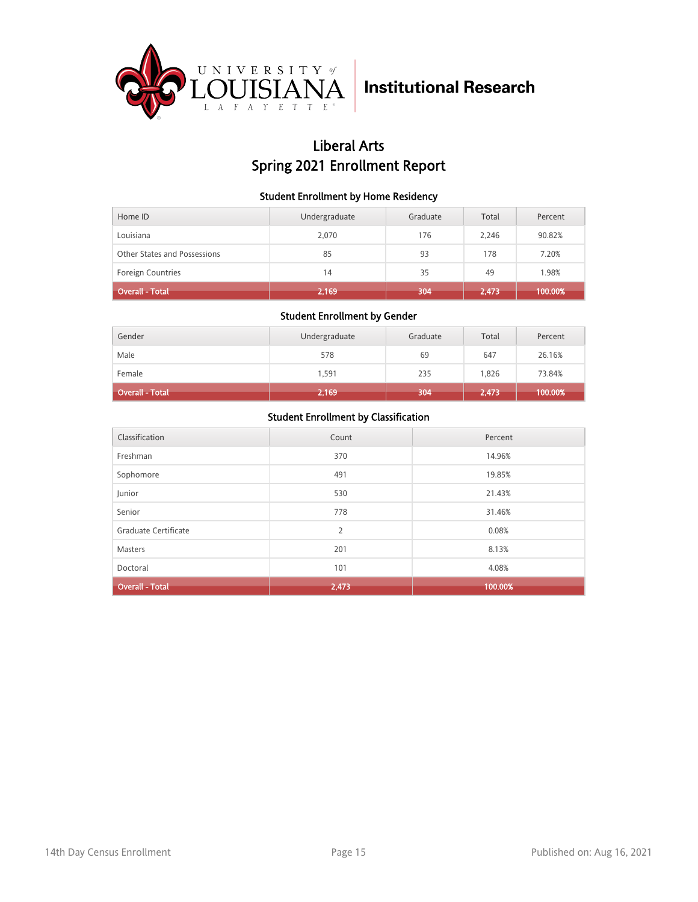

## Liberal Arts Spring 2021 Enrollment Report

### Student Enrollment by Home Residency

| Home ID                      | Undergraduate | Graduate | Total | Percent |
|------------------------------|---------------|----------|-------|---------|
| Louisiana                    | 2,070         | 176      | 2.246 | 90.82%  |
| Other States and Possessions | 85            | 93       | 178   | 7.20%   |
| <b>Foreign Countries</b>     | 14            | 35       | 49    | 1.98%   |
| <b>Overall - Total</b>       | 2,169         | 304      | 2,473 | 100.00% |

#### Student Enrollment by Gender

| Gender                 | Undergraduate | Graduate | Total | Percent |
|------------------------|---------------|----------|-------|---------|
| Male                   | 578           | 69       | 647   | 26.16%  |
| Female                 | 1.591         | 235      | 1,826 | 73.84%  |
| <b>Overall - Total</b> | 2,169         | 304      | 2,473 | 100.00% |

| Classification         | Count | Percent |
|------------------------|-------|---------|
| Freshman               | 370   | 14.96%  |
| Sophomore              | 491   | 19.85%  |
| Junior                 | 530   | 21.43%  |
| Senior                 | 778   | 31.46%  |
| Graduate Certificate   | 2     | 0.08%   |
| Masters                | 201   | 8.13%   |
| Doctoral               | 101   | 4.08%   |
| <b>Overall - Total</b> | 2,473 | 100.00% |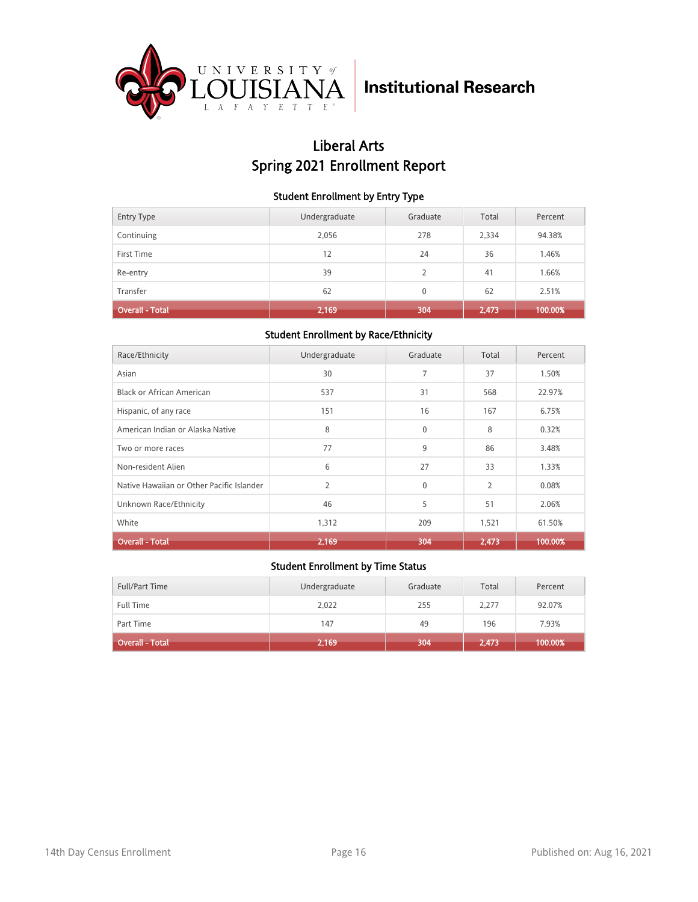

## Liberal Arts Spring 2021 Enrollment Report

### Student Enrollment by Entry Type

| <b>Entry Type</b>      | Undergraduate | Graduate                 | Total | Percent |
|------------------------|---------------|--------------------------|-------|---------|
| Continuing             | 2,056         | 278                      | 2,334 | 94.38%  |
| First Time             | 12            | 24                       | 36    | 1.46%   |
| Re-entry               | 39            | $\overline{\phantom{a}}$ | 41    | 1.66%   |
| Transfer               | 62            | $\Omega$                 | 62    | 2.51%   |
| <b>Overall - Total</b> | 2,169         | 304                      | 2,473 | 100.00% |

### Student Enrollment by Race/Ethnicity

| Race/Ethnicity                            | Undergraduate  | Graduate | Total          | Percent |
|-------------------------------------------|----------------|----------|----------------|---------|
| Asian                                     | 30             | 7        | 37             | 1.50%   |
| Black or African American                 | 537            | 31       | 568            | 22.97%  |
| Hispanic, of any race                     | 151            | 16       | 167            | 6.75%   |
| American Indian or Alaska Native          | 8              | $\Omega$ | 8              | 0.32%   |
| Two or more races                         | 77             | 9        | 86             | 3.48%   |
| Non-resident Alien                        | 6              | 27       | 33             | 1.33%   |
| Native Hawaiian or Other Pacific Islander | $\overline{2}$ | $\Omega$ | $\overline{2}$ | 0.08%   |
| Unknown Race/Ethnicity                    | 46             | 5        | 51             | 2.06%   |
| White                                     | 1,312          | 209      | 1,521          | 61.50%  |
| <b>Overall - Total</b>                    | 2,169          | 304      | 2,473          | 100.00% |

| Full/Part Time         | Undergraduate | Graduate | Total | Percent |
|------------------------|---------------|----------|-------|---------|
| <b>Full Time</b>       | 2,022         | 255      | 2,277 | 92.07%  |
| Part Time              | 147           | 49       | 196   | 7.93%   |
| <b>Overall - Total</b> | 2,169         | 304      | 2,473 | 100.00% |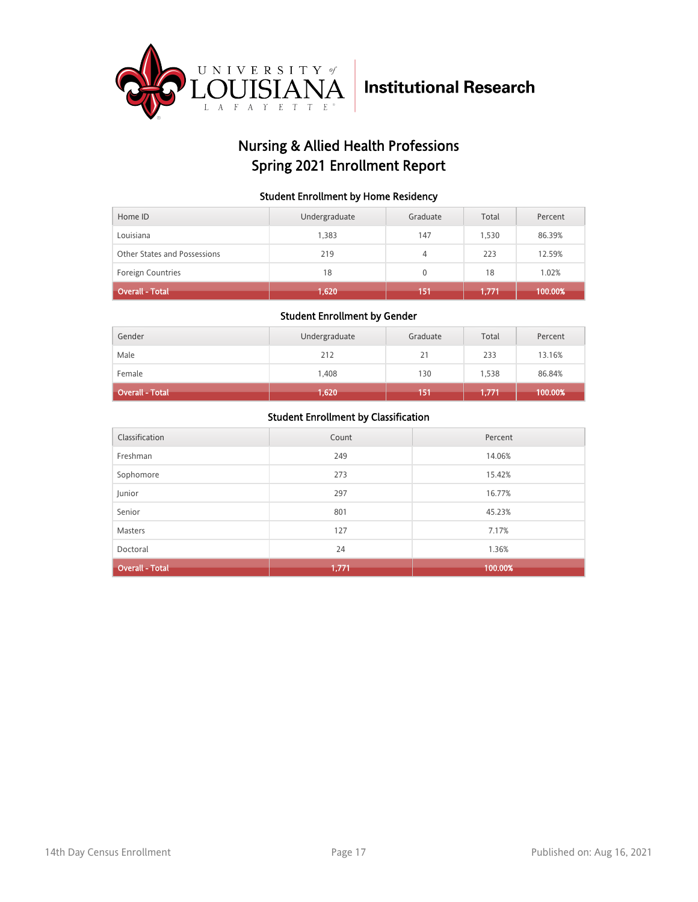

## Nursing & Allied Health Professions Spring 2021 Enrollment Report

### Student Enrollment by Home Residency

| Home ID                      | Undergraduate | Graduate     | Total | Percent |
|------------------------------|---------------|--------------|-------|---------|
| Louisiana                    | 1,383         | 147          | 1,530 | 86.39%  |
| Other States and Possessions | 219           | 4            | 223   | 12.59%  |
| <b>Foreign Countries</b>     | 18            | $\mathbf{0}$ | 18    | 1.02%   |
| <b>Overall - Total</b>       | 1,620         | 151          | 1,771 | 100.00% |

#### Student Enrollment by Gender

| Gender                 | Undergraduate | Graduate | Total | Percent |
|------------------------|---------------|----------|-------|---------|
| Male                   | 212           | 21       | 233   | 13.16%  |
| Female                 | 1,408         | 130      | 1,538 | 86.84%  |
| <b>Overall - Total</b> | 1,620         | 151      | 1,771 | 100.00% |

| Classification         | Count | Percent |
|------------------------|-------|---------|
| Freshman               | 249   | 14.06%  |
| Sophomore              | 273   | 15.42%  |
| Junior                 | 297   | 16.77%  |
| Senior                 | 801   | 45.23%  |
| <b>Masters</b>         | 127   | 7.17%   |
| Doctoral               | 24    | 1.36%   |
| <b>Overall - Total</b> | 1,771 | 100.00% |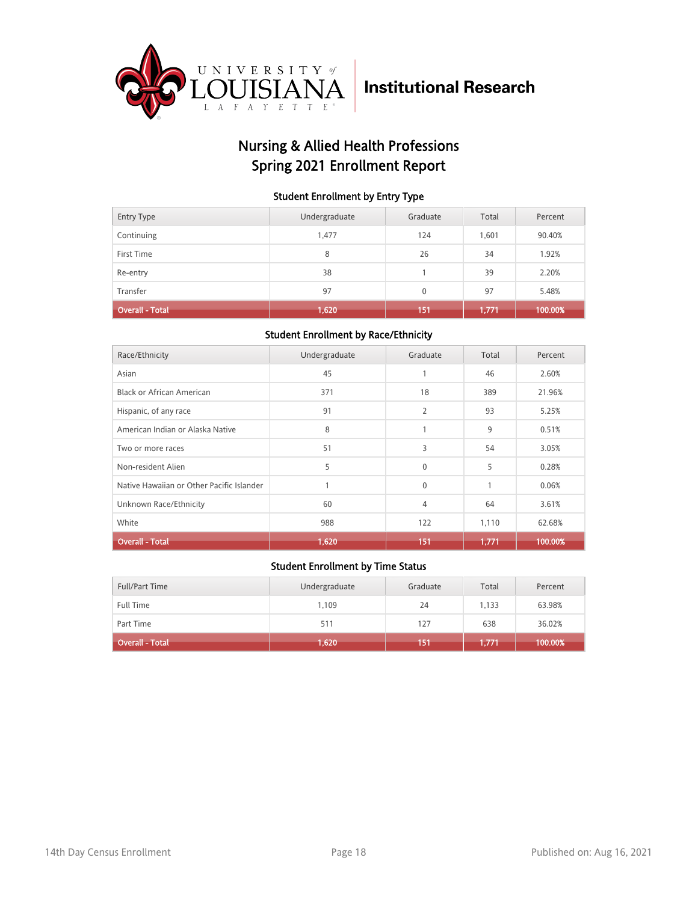

## Nursing & Allied Health Professions Spring 2021 Enrollment Report

### Student Enrollment by Entry Type

| <b>Entry Type</b>      | Undergraduate | Graduate | Total | Percent |
|------------------------|---------------|----------|-------|---------|
| Continuing             | 1.477         | 124      | 1.601 | 90.40%  |
| First Time             | 8             | 26       | 34    | 1.92%   |
| Re-entry               | 38            |          | 39    | 2.20%   |
| Transfer               | 97            | 0        | 97    | 5.48%   |
| <b>Overall - Total</b> | (1,620)       | 151      | 1,771 | 100.00% |

### Student Enrollment by Race/Ethnicity

| Race/Ethnicity                            | Undergraduate | Graduate     | Total | Percent |
|-------------------------------------------|---------------|--------------|-------|---------|
| Asian                                     | 45            |              | 46    | 2.60%   |
| Black or African American                 | 371           | 18           | 389   | 21.96%  |
| Hispanic, of any race                     | 91            | 2            | 93    | 5.25%   |
| American Indian or Alaska Native          | 8             | 1            | 9     | 0.51%   |
| Two or more races                         | 51            | 3            | 54    | 3.05%   |
| Non-resident Alien                        | 5             | $\mathbf{0}$ | 5     | 0.28%   |
| Native Hawaiian or Other Pacific Islander |               | $\Omega$     | 1     | 0.06%   |
| Unknown Race/Ethnicity                    | 60            | 4            | 64    | 3.61%   |
| White                                     | 988           | 122          | 1,110 | 62.68%  |
| <b>Overall - Total</b>                    | 1,620         | 151          | 1,771 | 100.00% |

| Full/Part Time         | Undergraduate | Graduate | Total | Percent |
|------------------------|---------------|----------|-------|---------|
| <b>Full Time</b>       | 1,109         | 24       | 1.133 | 63.98%  |
| Part Time              | 511           | 127      | 638   | 36.02%  |
| <b>Overall - Total</b> | 1,620         | 151      | 1,771 | 100.00% |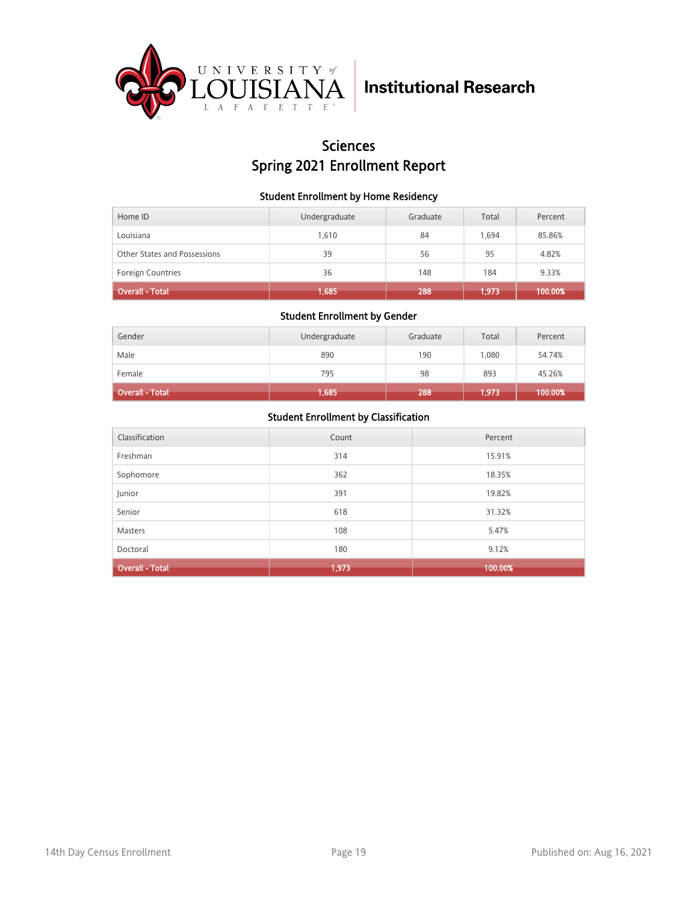

### **Sciences** Spring 2021 Enrollment Report

### Student Enrollment by Home Residency

| Home ID                      | Undergraduate | Graduate | Total | Percent |
|------------------------------|---------------|----------|-------|---------|
| Louisiana                    | 1.610         | 84       | 1.694 | 85.86%  |
| Other States and Possessions | 39            | 56       | 95    | 4.82%   |
| <b>Foreign Countries</b>     | 36            | 148      | 184   | 9.33%   |
| <b>Overall - Total</b>       | 1,685         | 288      | 1,973 | 100.00% |

#### Student Enrollment by Gender

| Gender                 | Undergraduate | Graduate | Total | Percent |
|------------------------|---------------|----------|-------|---------|
| Male                   | 890           | 190      | 1.080 | 54.74%  |
| Female                 | 795           | 98       | 893   | 45.26%  |
| <b>Overall - Total</b> | 1,685         | 288      | 1,973 | 100.00% |

| Classification         | Count | Percent |
|------------------------|-------|---------|
| Freshman               | 314   | 15.91%  |
| Sophomore              | 362   | 18.35%  |
| Junior                 | 391   | 19.82%  |
| Senior                 | 618   | 31.32%  |
| <b>Masters</b>         | 108   | 5.47%   |
| Doctoral               | 180   | 9.12%   |
| <b>Overall - Total</b> | 1,973 | 100.00% |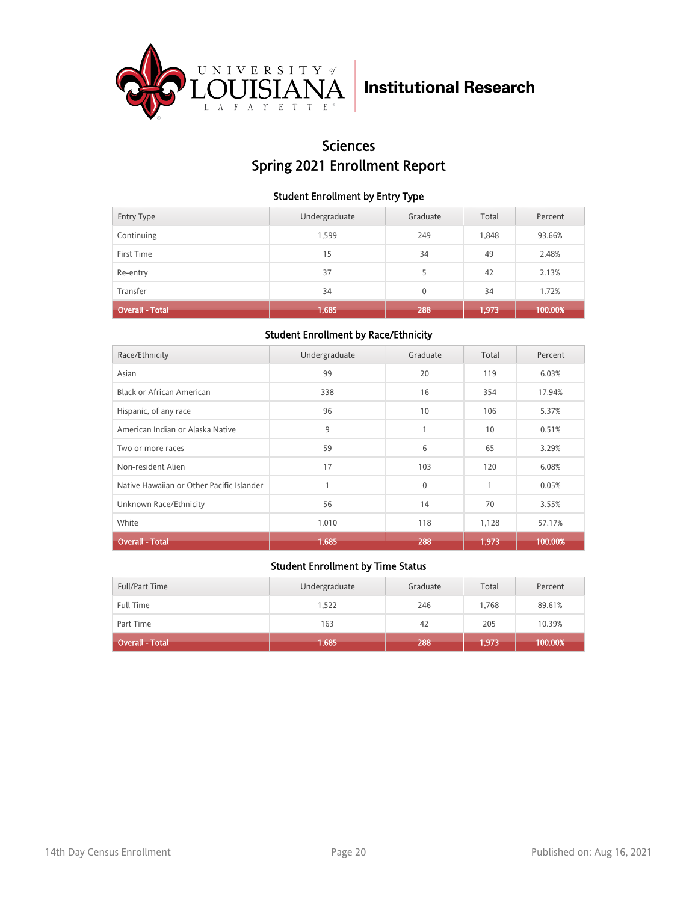

## Sciences Spring 2021 Enrollment Report

### Student Enrollment by Entry Type

| <b>Entry Type</b>      | Undergraduate | Graduate | Total | Percent |
|------------------------|---------------|----------|-------|---------|
| Continuing             | 1,599         | 249      | 1,848 | 93.66%  |
| First Time             | 15            | 34       | 49    | 2.48%   |
| Re-entry               | 37            | 5        | 42    | 2.13%   |
| Transfer               | 34            | $\Omega$ | 34    | 1.72%   |
| <b>Overall - Total</b> | 1,685         | 288      | 1,973 | 100.00% |

### Student Enrollment by Race/Ethnicity

| Race/Ethnicity                            | Undergraduate | Graduate | Total | Percent |
|-------------------------------------------|---------------|----------|-------|---------|
| Asian                                     | 99            | 20       | 119   | 6.03%   |
| Black or African American                 | 338           | 16       | 354   | 17.94%  |
| Hispanic, of any race                     | 96            | 10       | 106   | 5.37%   |
| American Indian or Alaska Native          | 9             | 1        | 10    | 0.51%   |
| Two or more races                         | 59            | 6        | 65    | 3.29%   |
| Non-resident Alien                        | 17            | 103      | 120   | 6.08%   |
| Native Hawaiian or Other Pacific Islander |               | $\Omega$ | 1     | 0.05%   |
| Unknown Race/Ethnicity                    | 56            | 14       | 70    | 3.55%   |
| White                                     | 1,010         | 118      | 1,128 | 57.17%  |
| <b>Overall - Total</b>                    | 1,685         | 288      | 1,973 | 100.00% |

| Full/Part Time         | Undergraduate | Graduate | Total | Percent |
|------------------------|---------------|----------|-------|---------|
| <b>Full Time</b>       | 1,522         | 246      | 1.768 | 89.61%  |
| Part Time              | 163           | 42       | 205   | 10.39%  |
| <b>Overall - Total</b> | 1,685         | 288      | 1,973 | 100.00% |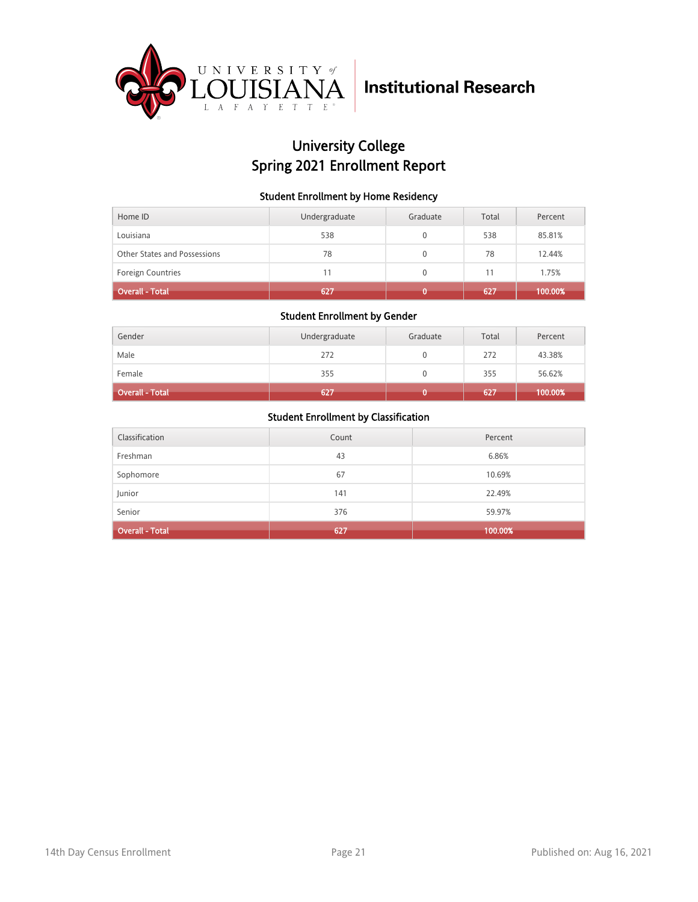

## University College Spring 2021 Enrollment Report

### Student Enrollment by Home Residency

| Home ID                      | Undergraduate | Graduate     | Total | Percent |
|------------------------------|---------------|--------------|-------|---------|
| Louisiana                    | 538           | 0            | 538   | 85.81%  |
| Other States and Possessions | 78            | $\mathbf{0}$ | 78    | 12.44%  |
| <b>Foreign Countries</b>     | 11            |              |       | 1.75%   |
| <b>Overall - Total</b>       | 627           |              | 627   | 100.00% |

### Student Enrollment by Gender

| Gender                 | Undergraduate | Graduate | Total | Percent |
|------------------------|---------------|----------|-------|---------|
| Male                   | 272           |          | 272   | 43.38%  |
| Female                 | 355           |          | 355   | 56.62%  |
| <b>Overall - Total</b> | 627           |          | 627   | 100.00% |

| Classification         | Count | Percent |
|------------------------|-------|---------|
| Freshman               | 43    | 6.86%   |
| Sophomore              | 67    | 10.69%  |
| Junior                 | 141   | 22.49%  |
| Senior                 | 376   | 59.97%  |
| <b>Overall - Total</b> | 627   | 100.00% |